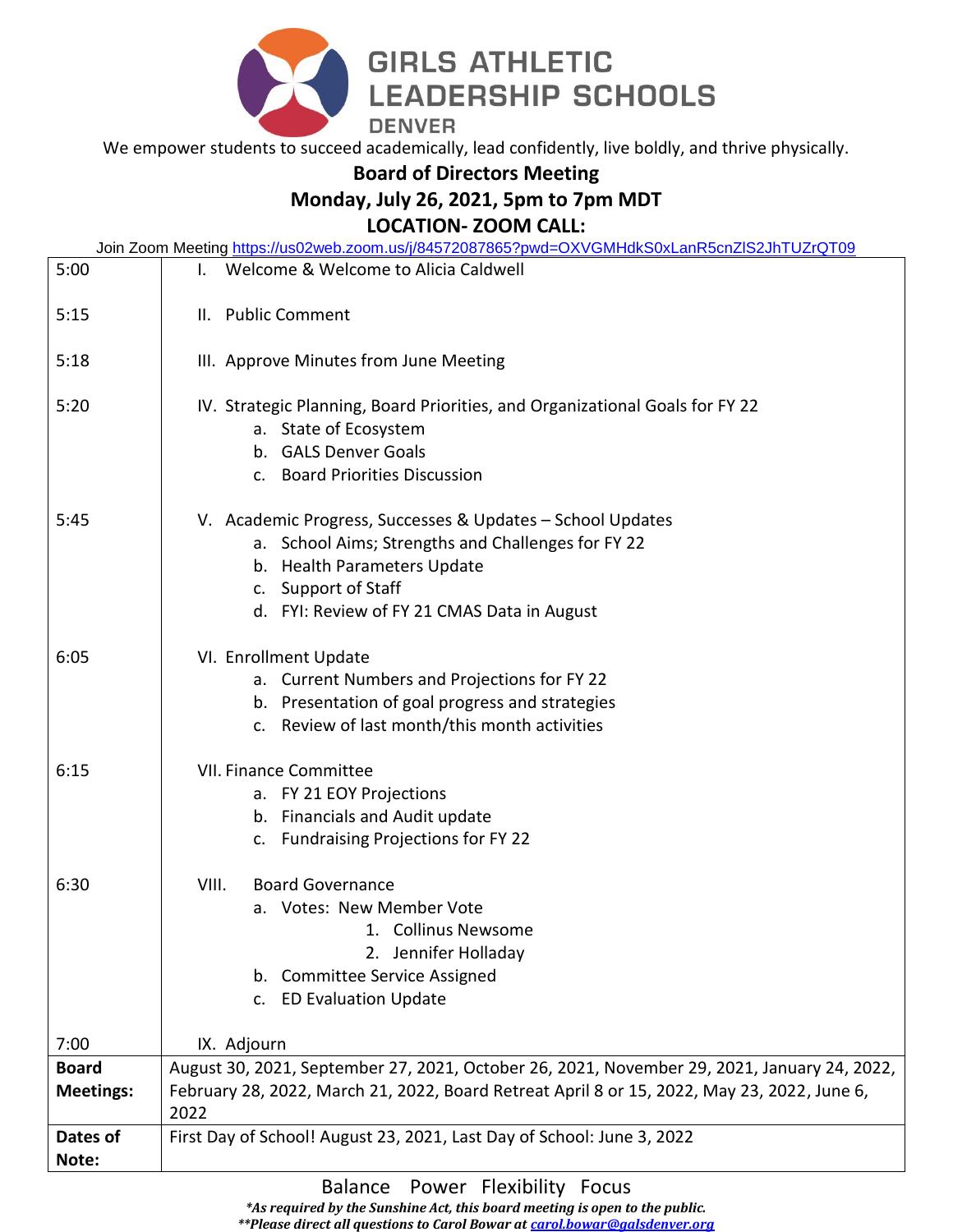

We empower students to succeed academically, lead confidently, live boldly, and thrive physically.

## **Board of Directors Meeting**

## **Monday, July 26, 2021, 5pm to 7pm MDT**

**LOCATION- ZOOM CALL:** 

| Join Zoom Meeting https://us02web.zoom.us/j/84572087865?pwd=OXVGMHdkS0xLanR5cnZIS2JhTUZrQT09 |                                                                                                                                                                                                                       |
|----------------------------------------------------------------------------------------------|-----------------------------------------------------------------------------------------------------------------------------------------------------------------------------------------------------------------------|
| 5:00                                                                                         | Welcome & Welcome to Alicia Caldwell                                                                                                                                                                                  |
| 5:15                                                                                         | II. Public Comment                                                                                                                                                                                                    |
| 5:18                                                                                         | III. Approve Minutes from June Meeting                                                                                                                                                                                |
| 5:20                                                                                         | IV. Strategic Planning, Board Priorities, and Organizational Goals for FY 22<br>a. State of Ecosystem<br>b. GALS Denver Goals<br>c. Board Priorities Discussion                                                       |
| 5:45                                                                                         | V. Academic Progress, Successes & Updates - School Updates<br>a. School Aims; Strengths and Challenges for FY 22<br>b. Health Parameters Update<br>c. Support of Staff<br>d. FYI: Review of FY 21 CMAS Data in August |
| 6:05                                                                                         | VI. Enrollment Update<br>a. Current Numbers and Projections for FY 22<br>b. Presentation of goal progress and strategies<br>c. Review of last month/this month activities                                             |
| 6:15                                                                                         | <b>VII. Finance Committee</b><br>a. FY 21 EOY Projections<br>b. Financials and Audit update<br>c. Fundraising Projections for FY 22                                                                                   |
| 6:30                                                                                         | VIII.<br><b>Board Governance</b><br>a. Votes: New Member Vote<br>1. Collinus Newsome<br>2. Jennifer Holladay<br><b>Committee Service Assigned</b><br>b.<br><b>ED Evaluation Update</b><br>C <sub>1</sub>              |
| 7:00                                                                                         | IX. Adjourn                                                                                                                                                                                                           |
| <b>Board</b>                                                                                 | August 30, 2021, September 27, 2021, October 26, 2021, November 29, 2021, January 24, 2022,                                                                                                                           |
| <b>Meetings:</b>                                                                             | February 28, 2022, March 21, 2022, Board Retreat April 8 or 15, 2022, May 23, 2022, June 6,<br>2022                                                                                                                   |
| Dates of                                                                                     | First Day of School! August 23, 2021, Last Day of School: June 3, 2022                                                                                                                                                |
| Note:                                                                                        |                                                                                                                                                                                                                       |

Balance Power Flexibility Focus

*\*As required by the Sunshine Act, this board meeting is open to the public.* 

*\*\*Please direct all questions to Carol Bowar at [carol.bowar@galsdenver.org](mailto:carol.bowar@galsdenver.org)*